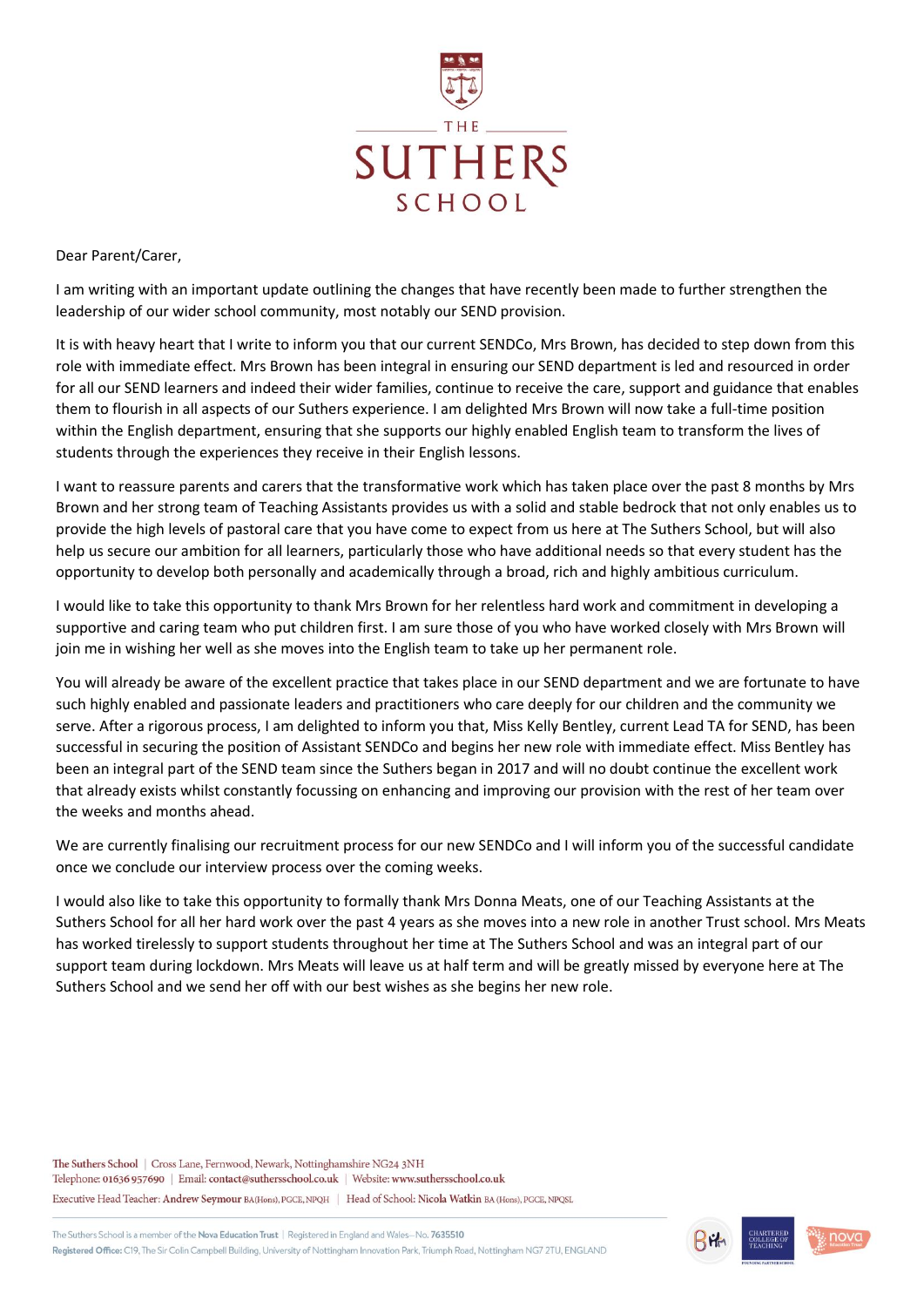

Dear Parent/Carer,

I am writing with an important update outlining the changes that have recently been made to further strengthen the leadership of our wider school community, most notably our SEND provision.

It is with heavy heart that I write to inform you that our current SENDCo, Mrs Brown, has decided to step down from this role with immediate effect. Mrs Brown has been integral in ensuring our SEND department is led and resourced in order for all our SEND learners and indeed their wider families, continue to receive the care, support and guidance that enables them to flourish in all aspects of our Suthers experience. I am delighted Mrs Brown will now take a full-time position within the English department, ensuring that she supports our highly enabled English team to transform the lives of students through the experiences they receive in their English lessons.

I want to reassure parents and carers that the transformative work which has taken place over the past 8 months by Mrs Brown and her strong team of Teaching Assistants provides us with a solid and stable bedrock that not only enables us to provide the high levels of pastoral care that you have come to expect from us here at The Suthers School, but will also help us secure our ambition for all learners, particularly those who have additional needs so that every student has the opportunity to develop both personally and academically through a broad, rich and highly ambitious curriculum.

I would like to take this opportunity to thank Mrs Brown for her relentless hard work and commitment in developing a supportive and caring team who put children first. I am sure those of you who have worked closely with Mrs Brown will join me in wishing her well as she moves into the English team to take up her permanent role.

You will already be aware of the excellent practice that takes place in our SEND department and we are fortunate to have such highly enabled and passionate leaders and practitioners who care deeply for our children and the community we serve. After a rigorous process, I am delighted to inform you that, Miss Kelly Bentley, current Lead TA for SEND, has been successful in securing the position of Assistant SENDCo and begins her new role with immediate effect. Miss Bentley has been an integral part of the SEND team since the Suthers began in 2017 and will no doubt continue the excellent work that already exists whilst constantly focussing on enhancing and improving our provision with the rest of her team over the weeks and months ahead.

We are currently finalising our recruitment process for our new SENDCo and I will inform you of the successful candidate once we conclude our interview process over the coming weeks.

I would also like to take this opportunity to formally thank Mrs Donna Meats, one of our Teaching Assistants at the Suthers School for all her hard work over the past 4 years as she moves into a new role in another Trust school. Mrs Meats has worked tirelessly to support students throughout her time at The Suthers School and was an integral part of our support team during lockdown. Mrs Meats will leave us at half term and will be greatly missed by everyone here at The Suthers School and we send her off with our best wishes as she begins her new role.

The Suthers School | Cross Lane, Fernwood, Newark, Nottinghamshire NG24 3NH Telephone: 01636 957690 | Email: contact@suthersschool.co.uk | Website: www.suthersschool.co.uk Executive Head Teacher: Andrew Seymour BA(Hons), PGCE, NPQH | Head of School: Nicola Watkin BA (Hons), PGCE, NPQSL

The Suthers School is a member of the Nova Education Trust | Registered in England and Wales-No. 7635510 Registered Office: C19, The Sir Colin Campbell Building, University of Nottingham Innovation Park, Triumph Road, Nottingham NG7 2TU, ENGLAND